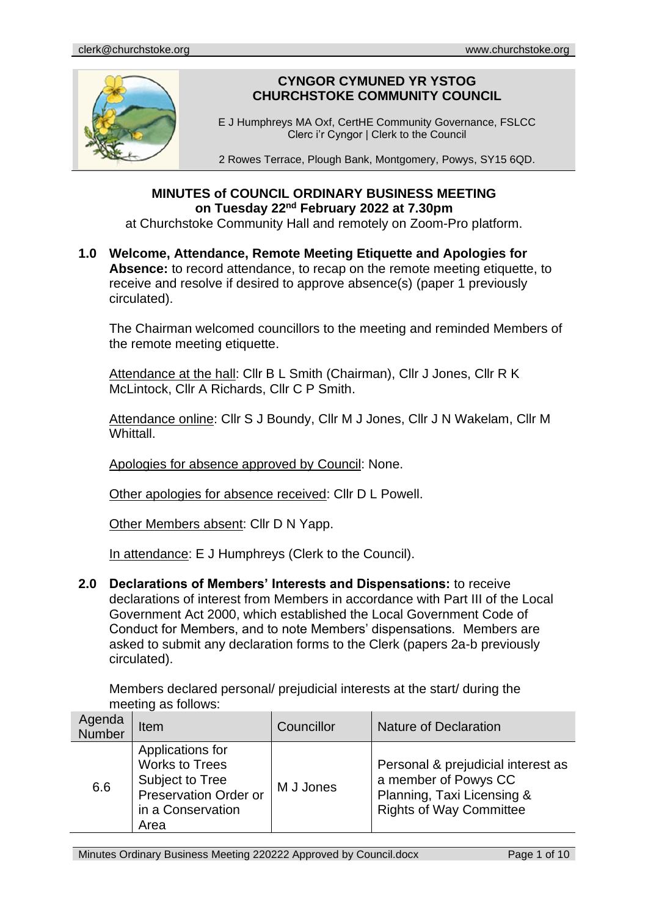

# **CYNGOR CYMUNED YR YSTOG CHURCHSTOKE COMMUNITY COUNCIL**

E J Humphreys MA Oxf, CertHE Community Governance, FSLCC Clerc i'r Cyngor | Clerk to the Council

2 Rowes Terrace, Plough Bank, Montgomery, Powys, SY15 6QD.

# **MINUTES of COUNCIL ORDINARY BUSINESS MEETING on Tuesday 22nd February 2022 at 7.30pm**

at Churchstoke Community Hall and remotely on Zoom-Pro platform.

**1.0 Welcome, Attendance, Remote Meeting Etiquette and Apologies for**  Absence: to record attendance, to recap on the remote meeting etiquette, to receive and resolve if desired to approve absence(s) (paper 1 previously circulated).

The Chairman welcomed councillors to the meeting and reminded Members of the remote meeting etiquette.

Attendance at the hall: Cllr B L Smith (Chairman), Cllr J Jones, Cllr R K McLintock, Cllr A Richards, Cllr C P Smith.

Attendance online: Cllr S J Boundy, Cllr M J Jones, Cllr J N Wakelam, Cllr M Whittall.

Apologies for absence approved by Council: None.

Other apologies for absence received: Cllr D L Powell.

Other Members absent: Cllr D N Yapp.

In attendance: E J Humphreys (Clerk to the Council).

**2.0 Declarations of Members' Interests and Dispensations:** to receive declarations of interest from Members in accordance with Part III of the Local Government Act 2000, which established the Local Government Code of Conduct for Members, and to note Members' dispensations. Members are asked to submit any declaration forms to the Clerk (papers 2a-b previously circulated).

Members declared personal/ prejudicial interests at the start/ during the meeting as follows:

| Agenda<br>Number | Item                                                                                                               | Councillor | <b>Nature of Declaration</b>                                                                                               |
|------------------|--------------------------------------------------------------------------------------------------------------------|------------|----------------------------------------------------------------------------------------------------------------------------|
| 6.6              | Applications for<br><b>Works to Trees</b><br>Subject to Tree<br>Preservation Order or<br>in a Conservation<br>Area | M J Jones  | Personal & prejudicial interest as<br>a member of Powys CC<br>Planning, Taxi Licensing &<br><b>Rights of Way Committee</b> |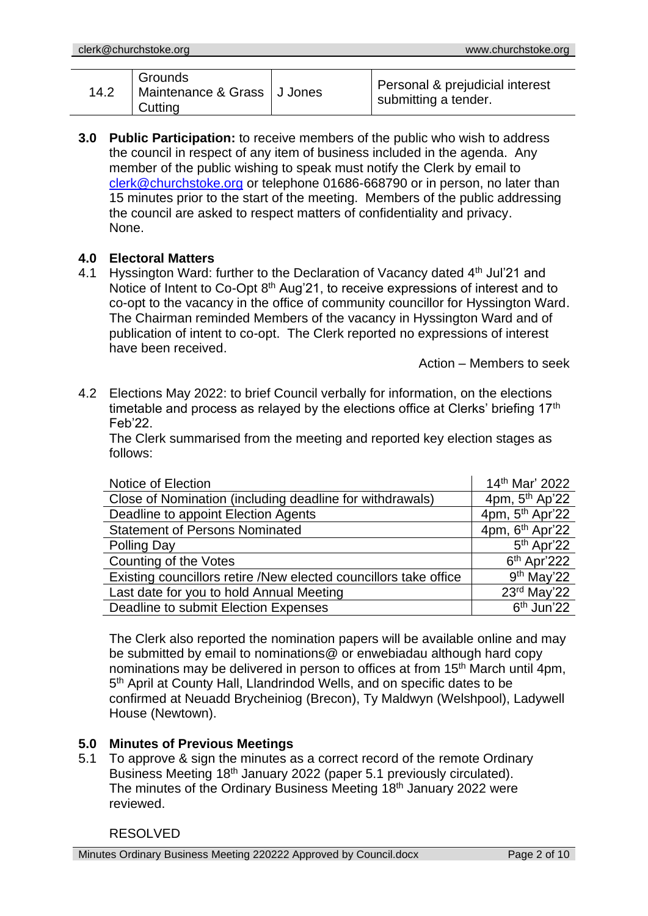| 14.2 | l Grounds<br>Maintenance & Grass   J Jones<br>  Cutting |  | Personal & prejudicial interest<br>submitting a tender. |
|------|---------------------------------------------------------|--|---------------------------------------------------------|
|------|---------------------------------------------------------|--|---------------------------------------------------------|

**3.0 Public Participation:** to receive members of the public who wish to address the council in respect of any item of business included in the agenda. Any member of the public wishing to speak must notify the Clerk by email to [clerk@churchstoke.org](mailto:clerk@churchstoke.org) or telephone 01686-668790 or in person, no later than 15 minutes prior to the start of the meeting. Members of the public addressing the council are asked to respect matters of confidentiality and privacy. None.

# **4.0 Electoral Matters**

4.1 Hyssington Ward: further to the Declaration of Vacancy dated 4<sup>th</sup> Jul'21 and Notice of Intent to Co-Opt 8<sup>th</sup> Aug'21, to receive expressions of interest and to co-opt to the vacancy in the office of community councillor for Hyssington Ward. The Chairman reminded Members of the vacancy in Hyssington Ward and of publication of intent to co-opt. The Clerk reported no expressions of interest have been received.

Action – Members to seek

4.2 Elections May 2022: to brief Council verbally for information, on the elections timetable and process as relayed by the elections office at Clerks' briefing  $17<sup>th</sup>$ Feb'22.

The Clerk summarised from the meeting and reported key election stages as follows:

| Notice of Election                                               | 14th Mar' 2022              |
|------------------------------------------------------------------|-----------------------------|
| Close of Nomination (including deadline for withdrawals)         | 4pm, 5 <sup>th</sup> Ap'22  |
| Deadline to appoint Election Agents                              | 4pm, 5 <sup>th</sup> Apr'22 |
| <b>Statement of Persons Nominated</b>                            | 4pm, 6 <sup>th</sup> Apr'22 |
| Polling Day                                                      | 5 <sup>th</sup> Apr'22      |
| Counting of the Votes                                            | $6th$ Apr'222               |
| Existing councillors retire /New elected councillors take office | $9th$ May'22                |
| Last date for you to hold Annual Meeting                         | 23rd May'22                 |
| Deadline to submit Election Expenses                             | 6 <sup>th</sup> Jun'22      |

The Clerk also reported the nomination papers will be available online and may be submitted by email to nominations@ or enwebiadau although hard copy nominations may be delivered in person to offices at from 15<sup>th</sup> March until 4pm, 5<sup>th</sup> April at County Hall, Llandrindod Wells, and on specific dates to be confirmed at Neuadd Brycheiniog (Brecon), Ty Maldwyn (Welshpool), Ladywell House (Newtown).

# **5.0 Minutes of Previous Meetings**

5.1 To approve & sign the minutes as a correct record of the remote Ordinary Business Meeting 18<sup>th</sup> January 2022 (paper 5.1 previously circulated). The minutes of the Ordinary Business Meeting 18th January 2022 were reviewed.

# RESOLVED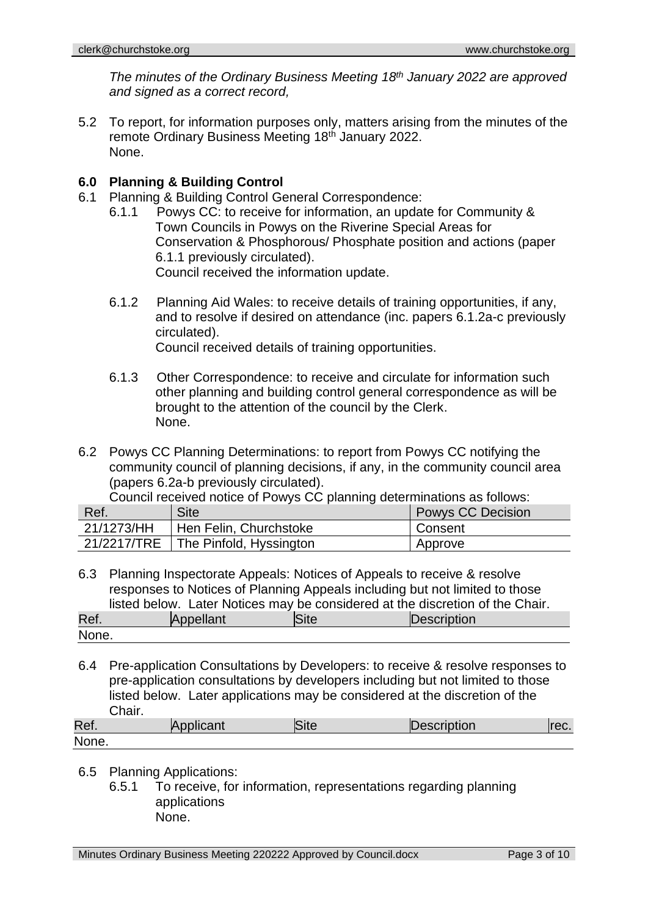*The minutes of the Ordinary Business Meeting 18th January 2022 are approved and signed as a correct record,*

5.2 To report, for information purposes only, matters arising from the minutes of the remote Ordinary Business Meeting 18th January 2022. None.

# **6.0 Planning & Building Control**

- 6.1 Planning & Building Control General Correspondence:
	- 6.1.1 Powys CC: to receive for information, an update for Community & Town Councils in Powys on the Riverine Special Areas for Conservation & Phosphorous/ Phosphate position and actions (paper 6.1.1 previously circulated). Council received the information update.
	- 6.1.2 Planning Aid Wales: to receive details of training opportunities, if any, and to resolve if desired on attendance (inc. papers 6.1.2a-c previously circulated). Council received details of training opportunities.
	- 6.1.3 Other Correspondence: to receive and circulate for information such other planning and building control general correspondence as will be brought to the attention of the council by the Clerk. None.
- 6.2 Powys CC Planning Determinations: to report from Powys CC notifying the community council of planning decisions, if any, in the community council area (papers 6.2a-b previously circulated).

Council received notice of Powys CC planning determinations as follows:

| Ref.       | Site                                  | <b>Powys CC Decision</b> |
|------------|---------------------------------------|--------------------------|
| 21/1273/HH | Hen Felin, Churchstoke                | Consent                  |
|            | 21/2217/TRE   The Pinfold, Hyssington | Approve                  |

6.3 Planning Inspectorate Appeals: Notices of Appeals to receive & resolve responses to Notices of Planning Appeals including but not limited to those listed below. Later Notices may be considered at the discretion of the Chair. Ref. Appellant Site **Description** 

None.

6.4 Pre-application Consultations by Developers: to receive & resolve responses to pre-application consultations by developers including but not limited to those listed below. Later applications may be considered at the discretion of the Chair.

| Ref.  | $   -$ | ा ⇔<br>סווס | IC<br>ription <sup>.</sup> | GU. |
|-------|--------|-------------|----------------------------|-----|
| None. |        |             |                            |     |

### 6.5 Planning Applications:

6.5.1 To receive, for information, representations regarding planning applications None.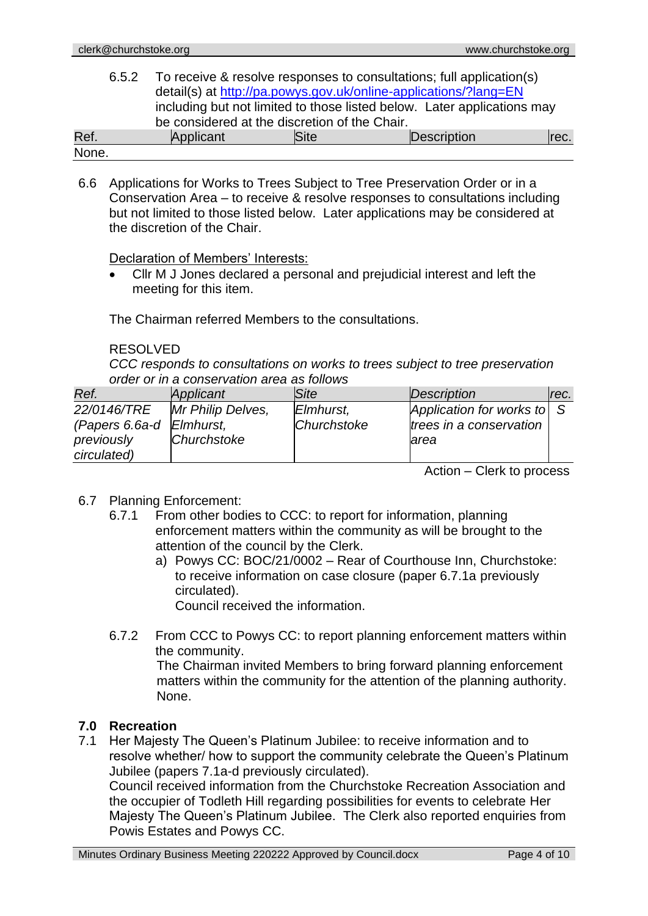| 6.5.2 |                                                                  |             | To receive & resolve responses to consultations; full application(s)    |      |  |  |
|-------|------------------------------------------------------------------|-------------|-------------------------------------------------------------------------|------|--|--|
|       | detail(s) at http://pa.powys.gov.uk/online-applications/?lang=EN |             |                                                                         |      |  |  |
|       |                                                                  |             | including but not limited to those listed below. Later applications may |      |  |  |
|       | be considered at the discretion of the Chair.                    |             |                                                                         |      |  |  |
| Ref.  | Applicant                                                        | <b>Site</b> | Description                                                             | rec. |  |  |
| None. |                                                                  |             |                                                                         |      |  |  |

6.6 Applications for Works to Trees Subject to Tree Preservation Order or in a Conservation Area – to receive & resolve responses to consultations including but not limited to those listed below. Later applications may be considered at the discretion of the Chair.

Declaration of Members' Interests:

• Cllr M J Jones declared a personal and prejudicial interest and left the meeting for this item.

The Chairman referred Members to the consultations.

# RESOLVED

*CCC responds to consultations on works to trees subject to tree preservation order or in a conservation area as follows*

| Ref.                     | Applicant         | <b>Site</b> | Description                            | rec. |
|--------------------------|-------------------|-------------|----------------------------------------|------|
| 22/0146/TRE              | Mr Philip Delves, | Elmhurst,   | Application for works to $\mid S \mid$ |      |
| (Papers 6.6a-d Elmhurst, |                   | Churchstoke | trees in a conservation                |      |
| previously               | Churchstoke       |             | larea                                  |      |
| circulated)              |                   |             |                                        |      |

Action – Clerk to process

- 6.7 Planning Enforcement:
	- 6.7.1 From other bodies to CCC: to report for information, planning enforcement matters within the community as will be brought to the attention of the council by the Clerk.
		- a) Powys CC: BOC/21/0002 Rear of Courthouse Inn, Churchstoke: to receive information on case closure (paper 6.7.1a previously circulated).

Council received the information.

6.7.2 From CCC to Powys CC: to report planning enforcement matters within the community. The Chairman invited Members to bring forward planning enforcement

matters within the community for the attention of the planning authority. None.

# **7.0 Recreation**

7.1 Her Majesty The Queen's Platinum Jubilee: to receive information and to resolve whether/ how to support the community celebrate the Queen's Platinum Jubilee (papers 7.1a-d previously circulated).

Council received information from the Churchstoke Recreation Association and the occupier of Todleth Hill regarding possibilities for events to celebrate Her Majesty The Queen's Platinum Jubilee. The Clerk also reported enquiries from Powis Estates and Powys CC.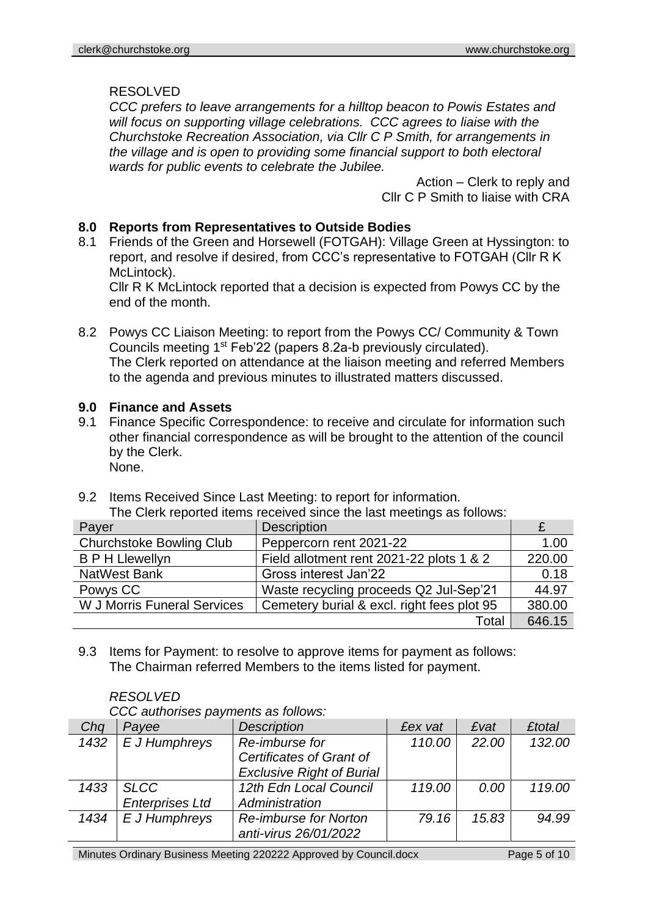RESOLVED

*CCC prefers to leave arrangements for a hilltop beacon to Powis Estates and will focus on supporting village celebrations. CCC agrees to liaise with the Churchstoke Recreation Association, via Cllr C P Smith, for arrangements in the village and is open to providing some financial support to both electoral wards for public events to celebrate the Jubilee.*

> Action – Clerk to reply and Cllr C P Smith to liaise with CRA

# **8.0 Reports from Representatives to Outside Bodies**

8.1 Friends of the Green and Horsewell (FOTGAH): Village Green at Hyssington: to report, and resolve if desired, from CCC's representative to FOTGAH (Cllr R K McLintock).

Cllr R K McLintock reported that a decision is expected from Powys CC by the end of the month.

8.2 Powys CC Liaison Meeting: to report from the Powys CC/ Community & Town Councils meeting 1st Feb'22 (papers 8.2a-b previously circulated). The Clerk reported on attendance at the liaison meeting and referred Members to the agenda and previous minutes to illustrated matters discussed.

# **9.0 Finance and Assets**

- 9.1 Finance Specific Correspondence: to receive and circulate for information such other financial correspondence as will be brought to the attention of the council by the Clerk. None.
- 9.2 Items Received Since Last Meeting: to report for information.

| Payer                              | <b>Description</b>                         |        |
|------------------------------------|--------------------------------------------|--------|
| <b>Churchstoke Bowling Club</b>    | Peppercorn rent 2021-22                    | 1.00   |
| <b>B P H Llewellyn</b>             | Field allotment rent 2021-22 plots 1 & 2   | 220.00 |
| <b>NatWest Bank</b>                | Gross interest Jan'22                      | 0.18   |
| Powys CC                           | Waste recycling proceeds Q2 Jul-Sep'21     | 44.97  |
| <b>W J Morris Funeral Services</b> | Cemetery burial & excl. right fees plot 95 | 380.00 |
|                                    | Total                                      | 646.15 |

9.3 Items for Payment: to resolve to approve items for payment as follows: The Chairman referred Members to the items listed for payment.

| <i>RESOLVED</i>         |  |
|-------------------------|--|
| $000 \div 100 \div 200$ |  |

*RESOLVED*

| Chq  | Payee                  | <b>Description</b>               | <b>£ex vat</b> | <b>£vat</b> | <b>£total</b> |
|------|------------------------|----------------------------------|----------------|-------------|---------------|
| 1432 | E J Humphreys          | Re-imburse for                   | 110.00         | 22.00       | 132.00        |
|      |                        | Certificates of Grant of         |                |             |               |
|      |                        | <b>Exclusive Right of Burial</b> |                |             |               |
| 1433 | <b>SLCC</b>            | 12th Edn Local Council           | 119.00         | 0.00        | 119.00        |
|      | <b>Enterprises Ltd</b> | Administration                   |                |             |               |
| 1434 | E J Humphreys          | <b>Re-imburse for Norton</b>     | 79.16          | 15.83       | 94.99         |
|      |                        | anti-virus 26/01/2022            |                |             |               |

*CCC authorises payments as follows:*

Minutes Ordinary Business Meeting 220222 Approved by Council.docx Page 5 of 10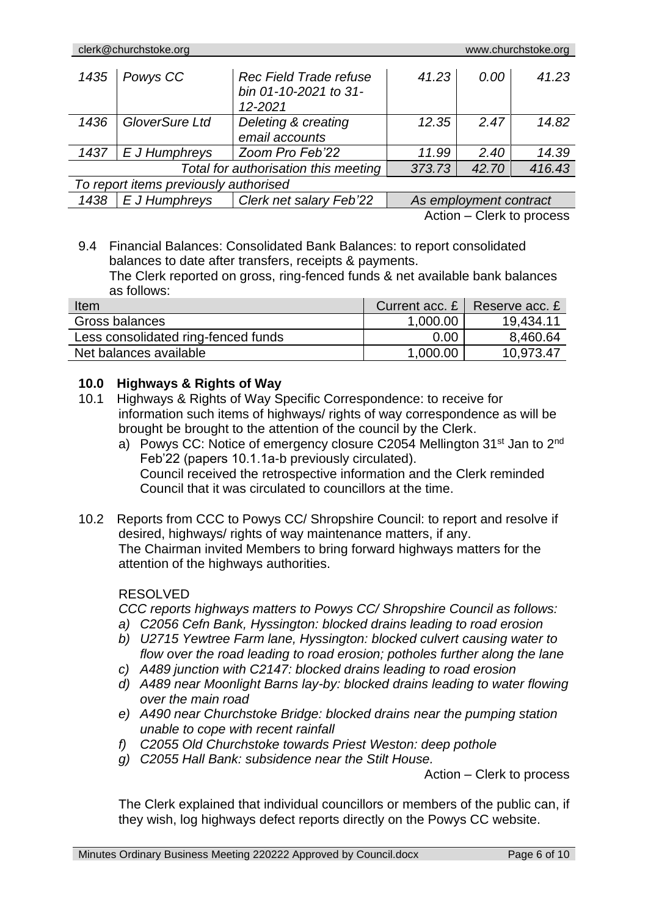| 1435                                                    | Powys CC       | <b>Rec Field Trade refuse</b><br>bin 01-10-2021 to 31-<br>$12 - 2021$ | 41.23 | 0.00                   | 41.23  |
|---------------------------------------------------------|----------------|-----------------------------------------------------------------------|-------|------------------------|--------|
| 1436                                                    | GloverSure Ltd | Deleting & creating                                                   | 12.35 | 2.47                   | 14.82  |
|                                                         |                | email accounts                                                        |       |                        |        |
| 1437                                                    | E J Humphreys  | Zoom Pro Feb'22                                                       | 11.99 | 2.40                   | 14.39  |
| Total for authorisation this meeting<br>373.73<br>42.70 |                |                                                                       |       |                        | 416.43 |
| To report items previously authorised                   |                |                                                                       |       |                        |        |
| 1438                                                    | E J Humphreys  | Clerk net salary Feb'22                                               |       | As employment contract |        |

Action – Clerk to process

### 9.4 Financial Balances: Consolidated Bank Balances: to report consolidated balances to date after transfers, receipts & payments. The Clerk reported on gross, ring-fenced funds & net available bank balances as follows:

| Item                                | Current acc. $E \mid$ | Reserve acc. £ |
|-------------------------------------|-----------------------|----------------|
| Gross balances                      | 1,000.00              | 19,434.11      |
| Less consolidated ring-fenced funds | 0.00                  | 8,460.64       |
| Net balances available              | 1,000.00              | 10,973.47      |

# **10.0 Highways & Rights of Way**

- 10.1 Highways & Rights of Way Specific Correspondence: to receive for information such items of highways/ rights of way correspondence as will be brought be brought to the attention of the council by the Clerk.
	- a) Powys CC: Notice of emergency closure C2054 Mellington 31<sup>st</sup> Jan to 2<sup>nd</sup> Feb'22 (papers 10.1.1a-b previously circulated). Council received the retrospective information and the Clerk reminded Council that it was circulated to councillors at the time.
- 10.2 Reports from CCC to Powys CC/ Shropshire Council: to report and resolve if desired, highways/ rights of way maintenance matters, if any. The Chairman invited Members to bring forward highways matters for the attention of the highways authorities.

# RESOLVED

*CCC reports highways matters to Powys CC/ Shropshire Council as follows:*

- *a) C2056 Cefn Bank, Hyssington: blocked drains leading to road erosion*
- *b) U2715 Yewtree Farm lane, Hyssington: blocked culvert causing water to flow over the road leading to road erosion; potholes further along the lane*
- *c) A489 junction with C2147: blocked drains leading to road erosion*
- *d) A489 near Moonlight Barns lay-by: blocked drains leading to water flowing over the main road*
- *e) A490 near Churchstoke Bridge: blocked drains near the pumping station unable to cope with recent rainfall*
- *f) C2055 Old Churchstoke towards Priest Weston: deep pothole*
- *g) C2055 Hall Bank: subsidence near the Stilt House.*

Action – Clerk to process

The Clerk explained that individual councillors or members of the public can, if they wish, log highways defect reports directly on the Powys CC website.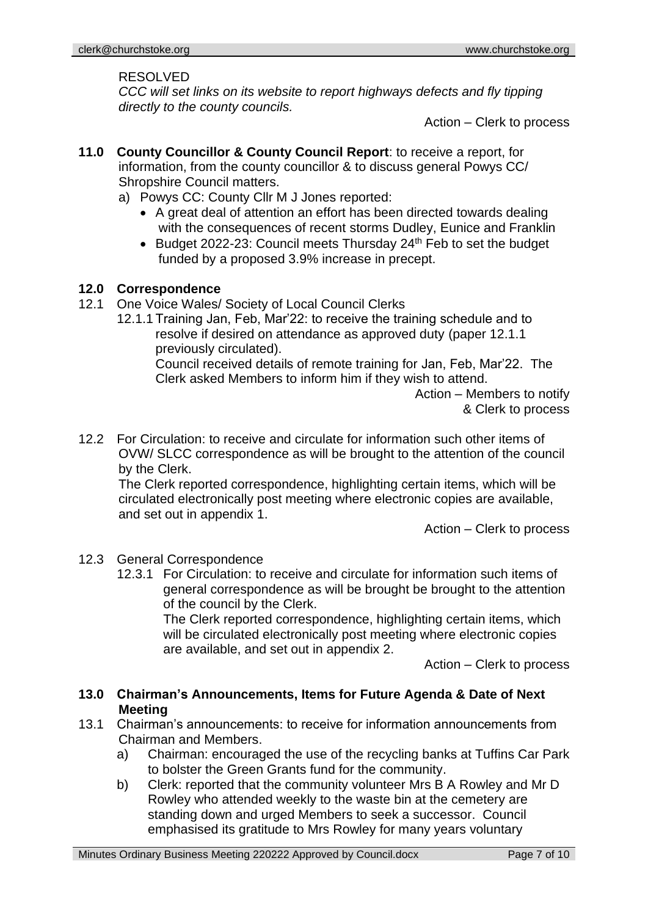#### RESOLVED

*CCC will set links on its website to report highways defects and fly tipping directly to the county councils.*

Action – Clerk to process

- **11.0 County Councillor & County Council Report**: to receive a report, for information, from the county councillor & to discuss general Powys CC/ Shropshire Council matters.
	- a) Powys CC: County Cllr M J Jones reported:
		- A great deal of attention an effort has been directed towards dealing with the consequences of recent storms Dudley, Eunice and Franklin
		- Budget 2022-23: Council meets Thursday 24<sup>th</sup> Feb to set the budget funded by a proposed 3.9% increase in precept.

### **12.0 Correspondence**

- 12.1 One Voice Wales/ Society of Local Council Clerks
	- 12.1.1 Training Jan, Feb, Mar'22: to receive the training schedule and to resolve if desired on attendance as approved duty (paper 12.1.1 previously circulated).

Council received details of remote training for Jan, Feb, Mar'22. The Clerk asked Members to inform him if they wish to attend.

> Action – Members to notify & Clerk to process

12.2 For Circulation: to receive and circulate for information such other items of OVW/ SLCC correspondence as will be brought to the attention of the council by the Clerk.

The Clerk reported correspondence, highlighting certain items, which will be circulated electronically post meeting where electronic copies are available, and set out in appendix 1.

Action – Clerk to process

# 12.3 General Correspondence

12.3.1 For Circulation: to receive and circulate for information such items of general correspondence as will be brought be brought to the attention of the council by the Clerk.

The Clerk reported correspondence, highlighting certain items, which will be circulated electronically post meeting where electronic copies are available, and set out in appendix 2.

Action – Clerk to process

### **13.0 Chairman's Announcements, Items for Future Agenda & Date of Next Meeting**

- 13.1 Chairman's announcements: to receive for information announcements from Chairman and Members.
	- a) Chairman: encouraged the use of the recycling banks at Tuffins Car Park to bolster the Green Grants fund for the community.
	- b) Clerk: reported that the community volunteer Mrs B A Rowley and Mr D Rowley who attended weekly to the waste bin at the cemetery are standing down and urged Members to seek a successor. Council emphasised its gratitude to Mrs Rowley for many years voluntary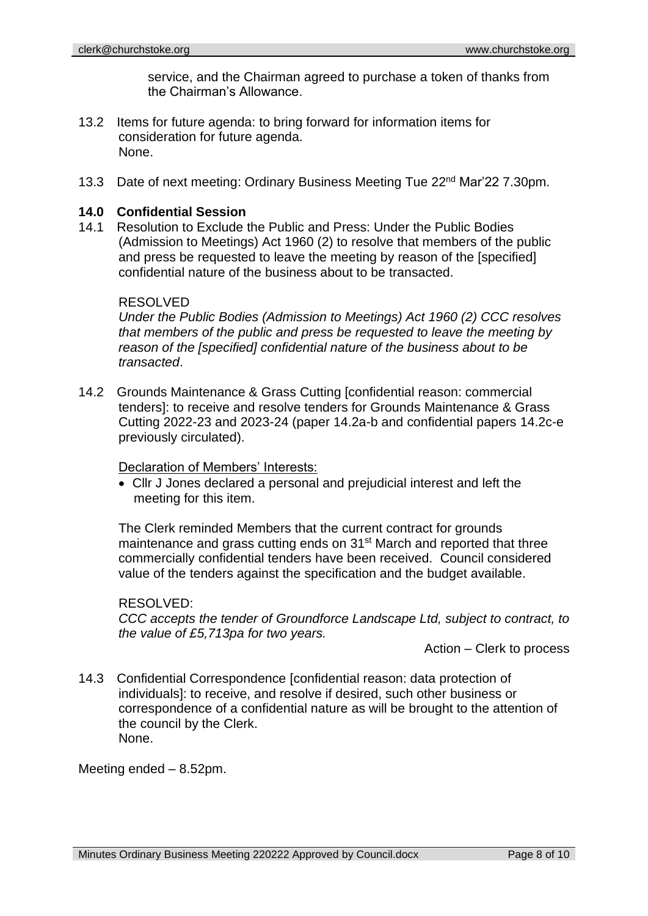service, and the Chairman agreed to purchase a token of thanks from the Chairman's Allowance.

- 13.2 Items for future agenda: to bring forward for information items for consideration for future agenda. None.
- 13.3 Date of next meeting: Ordinary Business Meeting Tue 22<sup>nd</sup> Mar'22 7.30pm.

### **14.0 Confidential Session**

14.1 Resolution to Exclude the Public and Press: Under the Public Bodies (Admission to Meetings) Act 1960 (2) to resolve that members of the public and press be requested to leave the meeting by reason of the [specified] confidential nature of the business about to be transacted.

### RESOLVED

*Under the Public Bodies (Admission to Meetings) Act 1960 (2) CCC resolves that members of the public and press be requested to leave the meeting by reason of the [specified] confidential nature of the business about to be transacted*.

14.2 Grounds Maintenance & Grass Cutting [confidential reason: commercial tenders]: to receive and resolve tenders for Grounds Maintenance & Grass Cutting 2022-23 and 2023-24 (paper 14.2a-b and confidential papers 14.2c-e previously circulated).

### Declaration of Members' Interests:

• Cllr J Jones declared a personal and prejudicial interest and left the meeting for this item.

The Clerk reminded Members that the current contract for grounds maintenance and grass cutting ends on 31<sup>st</sup> March and reported that three commercially confidential tenders have been received. Council considered value of the tenders against the specification and the budget available.

### RESOLVED:

*CCC accepts the tender of Groundforce Landscape Ltd, subject to contract, to the value of £5,713pa for two years.*

Action – Clerk to process

14.3 Confidential Correspondence [confidential reason: data protection of individuals]: to receive, and resolve if desired, such other business or correspondence of a confidential nature as will be brought to the attention of the council by the Clerk. None.

Meeting ended – 8.52pm.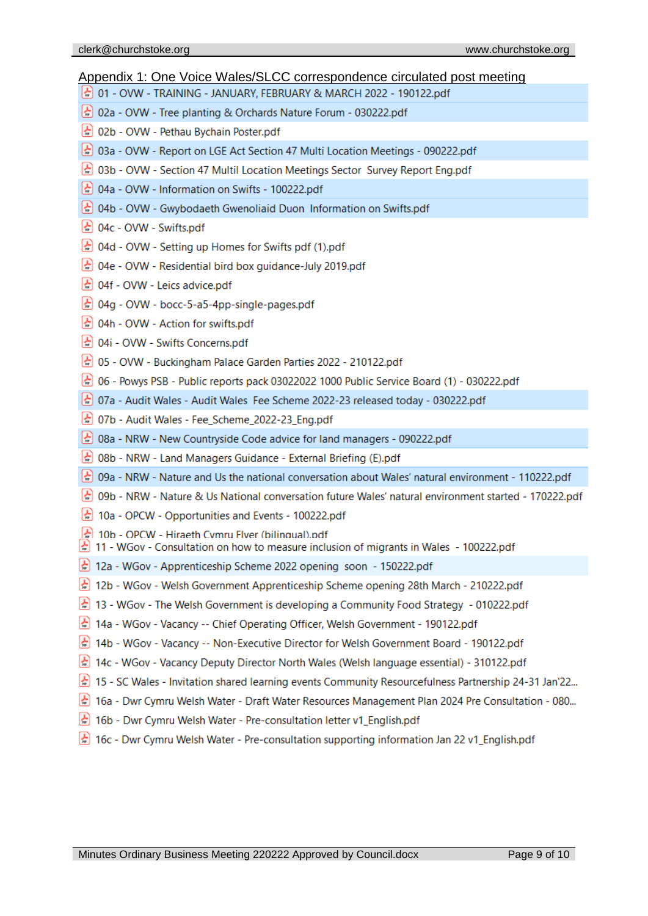#### Appendix 1: One Voice Wales/SLCC correspondence circulated post meeting

- 201 OVW TRAINING JANUARY, FEBRUARY & MARCH 2022 190122.pdf
- (☆) 02a OVW Tree planting & Orchards Nature Forum 030222.pdf
- (☆) 02b OVW Pethau Bychain Poster.pdf
- $\left\lfloor$   $\right\lfloor$  03a OVW Report on LGE Act Section 47 Multi Location Meetings 090222.pdf
- (☆ 03b OVW Section 47 Multil Location Meetings Sector Survey Report Eng.pdf
- $\left[\frac{1}{n}\right]$  04a OVW Information on Swifts 100222.pdf
- (☆) 04b OVW Gwybodaeth Gwenoliaid Duon Information on Swifts.pdf
- $\frac{1}{2}$  04c OVW Swifts.pdf
- ∴ 04d OVW Setting up Homes for Swifts pdf (1).pdf
- (☆ 04e OVW Residential bird box guidance-July 2019.pdf
- (☆) 04f OVW Leics advice.pdf
- $\frac{1}{2}$  04g OVW bocc-5-a5-4pp-single-pages.pdf
- (☆) 04h OVW Action for swifts.pdf
- $\left[$   $\frac{1}{n}\right]$  04i OVW Swifts Concerns.pdf
- $\frac{1}{2}$  05 OVW Buckingham Palace Garden Parties 2022 210122.pdf
- $\frac{1}{22}$  06 Powys PSB Public reports pack 03022022 1000 Public Service Board (1) 030222.pdf
- $\left[\frac{1}{n}\right]$  07a Audit Wales Audit Wales Fee Scheme 2022-23 released today 030222.pdf
- $\left(\frac{1}{n}\right)$  07b Audit Wales Fee\_Scheme\_2022-23\_Eng.pdf
- $\left\lfloor$  ↓ 08a NRW New Countryside Code advice for land managers 090222.pdf
- 80 O8b NRW Land Managers Guidance External Briefing (E).pdf
- (☆) 09a NRW Nature and Us the national conversation about Wales' natural environment 110222.pdf
- 20222.pdf 09b NRW Nature & Us National conversation future Wales' natural environment started 170222.pdf
- 10a OPCW Opportunities and Events 100222.pdf
- $\frac{1}{2}$  10b OPCW Hiraeth Cymru Flver (bilingual).pdf
- $\left\lfloor \frac{1}{n} \right\rfloor$  11 WGov Consultation on how to measure inclusion of migrants in Wales 100222.pdf
- 12a WGov Apprenticeship Scheme 2022 opening soon 150222.pdf
- 12b WGov Welsh Government Apprenticeship Scheme opening 28th March 210222.pdf
- **a** 13 WGov The Welsh Government is developing a Community Food Strategy 010222.pdf
- 14a WGov Vacancy -- Chief Operating Officer, Welsh Government 190122.pdf
- ♪ 14b WGov Vacancy -- Non-Executive Director for Welsh Government Board 190122.pdf
- $\left\lfloor \frac{1}{n} \right\rfloor$  14c WGov Vacancy Deputy Director North Wales (Welsh language essential) 310122.pdf
- 15 SC Wales Invitation shared learning events Community Resourcefulness Partnership 24-31 Jan'22...
- a 16a Dwr Cymru Welsh Water Draft Water Resources Management Plan 2024 Pre Consultation 080...
- 16b Dwr Cymru Welsh Water Pre-consultation letter v1\_English.pdf
- and 16c Dwr Cymru Welsh Water Pre-consultation supporting information Jan 22 v1\_English.pdf